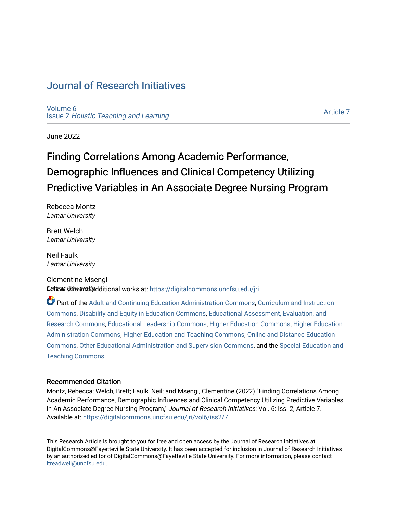# [Journal of Research Initiatives](https://digitalcommons.uncfsu.edu/jri)

[Volume 6](https://digitalcommons.uncfsu.edu/jri/vol6) Issue 2 [Holistic Teaching and Learning](https://digitalcommons.uncfsu.edu/jri/vol6/iss2)

[Article 7](https://digitalcommons.uncfsu.edu/jri/vol6/iss2/7) 

June 2022

# Finding Correlations Among Academic Performance, Demographic Influences and Clinical Competency Utilizing Predictive Variables in An Associate Degree Nursing Program

Rebecca Montz Lamar University

Brett Welch Lamar University

Neil Faulk Lamar University

# Clementine Msengi **Eallow this araitudditional works at: https://digitalcommons.uncfsu.edu/jri**

Part of the [Adult and Continuing Education Administration Commons](https://network.bepress.com/hgg/discipline/789?utm_source=digitalcommons.uncfsu.edu%2Fjri%2Fvol6%2Fiss2%2F7&utm_medium=PDF&utm_campaign=PDFCoverPages), [Curriculum and Instruction](https://network.bepress.com/hgg/discipline/786?utm_source=digitalcommons.uncfsu.edu%2Fjri%2Fvol6%2Fiss2%2F7&utm_medium=PDF&utm_campaign=PDFCoverPages)  [Commons](https://network.bepress.com/hgg/discipline/786?utm_source=digitalcommons.uncfsu.edu%2Fjri%2Fvol6%2Fiss2%2F7&utm_medium=PDF&utm_campaign=PDFCoverPages), [Disability and Equity in Education Commons,](https://network.bepress.com/hgg/discipline/1040?utm_source=digitalcommons.uncfsu.edu%2Fjri%2Fvol6%2Fiss2%2F7&utm_medium=PDF&utm_campaign=PDFCoverPages) [Educational Assessment, Evaluation, and](https://network.bepress.com/hgg/discipline/796?utm_source=digitalcommons.uncfsu.edu%2Fjri%2Fvol6%2Fiss2%2F7&utm_medium=PDF&utm_campaign=PDFCoverPages)  [Research Commons,](https://network.bepress.com/hgg/discipline/796?utm_source=digitalcommons.uncfsu.edu%2Fjri%2Fvol6%2Fiss2%2F7&utm_medium=PDF&utm_campaign=PDFCoverPages) [Educational Leadership Commons,](https://network.bepress.com/hgg/discipline/1230?utm_source=digitalcommons.uncfsu.edu%2Fjri%2Fvol6%2Fiss2%2F7&utm_medium=PDF&utm_campaign=PDFCoverPages) [Higher Education Commons](https://network.bepress.com/hgg/discipline/1245?utm_source=digitalcommons.uncfsu.edu%2Fjri%2Fvol6%2Fiss2%2F7&utm_medium=PDF&utm_campaign=PDFCoverPages), [Higher Education](https://network.bepress.com/hgg/discipline/791?utm_source=digitalcommons.uncfsu.edu%2Fjri%2Fvol6%2Fiss2%2F7&utm_medium=PDF&utm_campaign=PDFCoverPages)  [Administration Commons,](https://network.bepress.com/hgg/discipline/791?utm_source=digitalcommons.uncfsu.edu%2Fjri%2Fvol6%2Fiss2%2F7&utm_medium=PDF&utm_campaign=PDFCoverPages) [Higher Education and Teaching Commons](https://network.bepress.com/hgg/discipline/806?utm_source=digitalcommons.uncfsu.edu%2Fjri%2Fvol6%2Fiss2%2F7&utm_medium=PDF&utm_campaign=PDFCoverPages), [Online and Distance Education](https://network.bepress.com/hgg/discipline/1296?utm_source=digitalcommons.uncfsu.edu%2Fjri%2Fvol6%2Fiss2%2F7&utm_medium=PDF&utm_campaign=PDFCoverPages)  [Commons](https://network.bepress.com/hgg/discipline/1296?utm_source=digitalcommons.uncfsu.edu%2Fjri%2Fvol6%2Fiss2%2F7&utm_medium=PDF&utm_campaign=PDFCoverPages), [Other Educational Administration and Supervision Commons](https://network.bepress.com/hgg/discipline/794?utm_source=digitalcommons.uncfsu.edu%2Fjri%2Fvol6%2Fiss2%2F7&utm_medium=PDF&utm_campaign=PDFCoverPages), and the [Special Education and](https://network.bepress.com/hgg/discipline/801?utm_source=digitalcommons.uncfsu.edu%2Fjri%2Fvol6%2Fiss2%2F7&utm_medium=PDF&utm_campaign=PDFCoverPages)  [Teaching Commons](https://network.bepress.com/hgg/discipline/801?utm_source=digitalcommons.uncfsu.edu%2Fjri%2Fvol6%2Fiss2%2F7&utm_medium=PDF&utm_campaign=PDFCoverPages)

# Recommended Citation

Montz, Rebecca; Welch, Brett; Faulk, Neil; and Msengi, Clementine (2022) "Finding Correlations Among Academic Performance, Demographic Influences and Clinical Competency Utilizing Predictive Variables in An Associate Degree Nursing Program," Journal of Research Initiatives: Vol. 6: Iss. 2, Article 7. Available at: [https://digitalcommons.uncfsu.edu/jri/vol6/iss2/7](https://digitalcommons.uncfsu.edu/jri/vol6/iss2/7?utm_source=digitalcommons.uncfsu.edu%2Fjri%2Fvol6%2Fiss2%2F7&utm_medium=PDF&utm_campaign=PDFCoverPages) 

This Research Article is brought to you for free and open access by the Journal of Research Initiatives at DigitalCommons@Fayetteville State University. It has been accepted for inclusion in Journal of Research Initiatives by an authorized editor of DigitalCommons@Fayetteville State University. For more information, please contact [ltreadwell@uncfsu.edu](mailto:ltreadwell@uncfsu.edu).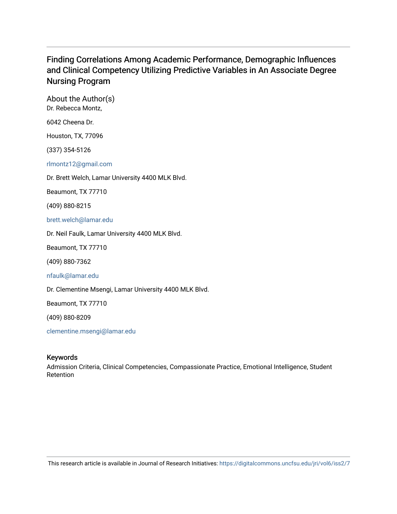# Finding Correlations Among Academic Performance, Demographic Influences and Clinical Competency Utilizing Predictive Variables in An Associate Degree Nursing Program

About the Author(s) Dr. Rebecca Montz,

6042 Cheena Dr.

Houston, TX, 77096

(337) 354-5126

[rlmontz12@gmail.com](mailto:rlmontz12@gmail.com)

Dr. Brett Welch, Lamar University 4400 MLK Blvd.

Beaumont, TX 77710

(409) 880-8215

[brett.welch@lamar.edu](mailto:brett.welch@lamar.edu)

Dr. Neil Faulk, Lamar University 4400 MLK Blvd.

Beaumont, TX 77710

(409) 880-7362

[nfaulk@lamar.edu](mailto:nfaulk@lamar.edu)

Dr. Clementine Msengi, Lamar University 4400 MLK Blvd.

Beaumont, TX 77710

(409) 880-8209

[clementine.msengi@lamar.edu](mailto:clementine.msengi@lamar.edu)

# Keywords

Admission Criteria, Clinical Competencies, Compassionate Practice, Emotional Intelligence, Student Retention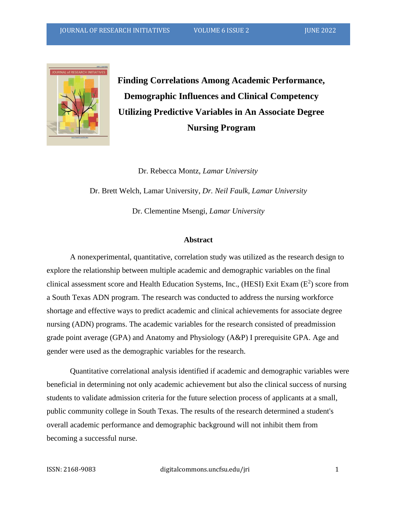

**Finding Correlations Among Academic Performance, Demographic Influences and Clinical Competency Utilizing Predictive Variables in An Associate Degree Nursing Program**

 Dr. Rebecca Montz, *Lamar University* Dr. Brett Welch, Lamar University, *Dr. Neil Faulk, Lamar University* Dr. Clementine Msengi, *Lamar University*

#### **Abstract**

A nonexperimental, quantitative, correlation study was utilized as the research design to explore the relationship between multiple academic and demographic variables on the final clinical assessment score and Health Education Systems, Inc., (HESI) Exit Exam  $(E^2)$  score from a South Texas ADN program. The research was conducted to address the nursing workforce shortage and effective ways to predict academic and clinical achievements for associate degree nursing (ADN) programs. The academic variables for the research consisted of preadmission grade point average (GPA) and Anatomy and Physiology (A&P) I prerequisite GPA. Age and gender were used as the demographic variables for the research.

Quantitative correlational analysis identified if academic and demographic variables were beneficial in determining not only academic achievement but also the clinical success of nursing students to validate admission criteria for the future selection process of applicants at a small, public community college in South Texas. The results of the research determined a student's overall academic performance and demographic background will not inhibit them from becoming a successful nurse.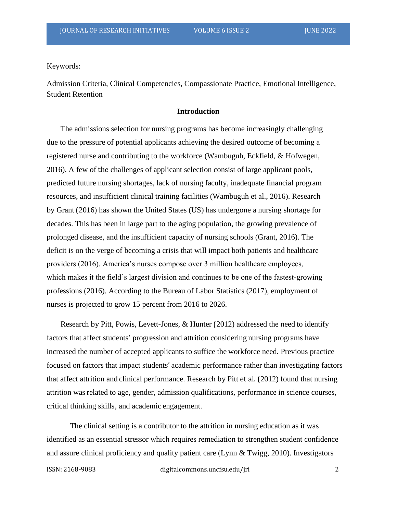Keywords:

Admission Criteria, Clinical Competencies, Compassionate Practice, Emotional Intelligence, Student Retention

# **Introduction**

The admissions selection for nursing programs has become increasingly challenging due to the pressure of potential applicants achieving the desired outcome of becoming a registered nurse and contributing to the workforce (Wambuguh, Eckfield, & Hofwegen, 2016). A few of the challenges of applicant selection consist of large applicant pools, predicted future nursing shortages, lack of nursing faculty, inadequate financial program resources, and insufficient clinical training facilities (Wambuguh et al., 2016). Research by Grant (2016) has shown the United States (US) has undergone a nursing shortage for decades. This has been in large part to the aging population, the growing prevalence of prolonged disease, and the insufficient capacity of nursing schools (Grant, 2016). The deficit is on the verge of becoming a crisis that will impact both patients and healthcare providers (2016). America's nurses compose over 3 million healthcare employees, which makes it the field's largest division and continues to be one of the fastest-growing professions (2016). According to the Bureau of Labor Statistics (2017), employment of nurses is projected to grow 15 percent from 2016 to 2026.

Research by Pitt, Powis, Levett-Jones, & Hunter (2012) addressed the need to identify factors that affect students' progression and attrition considering nursing programs have increased the number of accepted applicants to suffice the workforce need. Previous practice focused on factors that impact students' academic performance rather than investigating factors that affect attrition and clinical performance. Research by Pitt et al. (2012) found that nursing attrition wasrelated to age, gender, admission qualifications, performance in science courses, critical thinking skills, and academic engagement.

The clinical setting is a contributor to the attrition in nursing education as it was identified as an essential stressor which requires remediation to strengthen student confidence and assure clinical proficiency and quality patient care (Lynn & Twigg, 2010). Investigators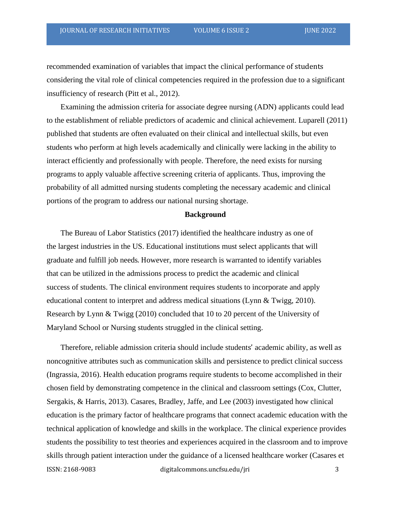recommended examination of variables that impact the clinical performance of students considering the vital role of clinical competencies required in the profession due to a significant insufficiency of research (Pitt et al., 2012).

Examining the admission criteria for associate degree nursing (ADN) applicants could lead to the establishment of reliable predictors of academic and clinical achievement. Luparell (2011) published that students are often evaluated on their clinical and intellectual skills, but even students who perform at high levels academically and clinically were lacking in the ability to interact efficiently and professionally with people. Therefore, the need exists for nursing programs to apply valuable affective screening criteria of applicants. Thus, improving the probability of all admitted nursing students completing the necessary academic and clinical portions of the program to address our national nursing shortage.

#### **Background**

The Bureau of Labor Statistics (2017) identified the healthcare industry as one of the largest industries in the US. Educational institutions must select applicants that will graduate and fulfill job needs. However, more research is warranted to identify variables that can be utilized in the admissions process to predict the academic and clinical success of students. The clinical environment requires students to incorporate and apply educational content to interpret and address medical situations (Lynn & Twigg, 2010). Research by Lynn & Twigg (2010) concluded that 10 to 20 percent of the University of Maryland School or Nursing students struggled in the clinical setting.

ISSN: 2168-9083 digitalcommons.uncfsu.edu/jri 3 Therefore, reliable admission criteria should include students' academic ability, as well as noncognitive attributes such as communication skills and persistence to predict clinical success (Ingrassia, 2016). Health education programs require students to become accomplished in their chosen field by demonstrating competence in the clinical and classroom settings (Cox, Clutter, Sergakis, & Harris, 2013). Casares, Bradley, Jaffe, and Lee (2003) investigated how clinical education is the primary factor of healthcare programs that connect academic education with the technical application of knowledge and skills in the workplace. The clinical experience provides students the possibility to test theories and experiences acquired in the classroom and to improve skills through patient interaction under the guidance of a licensed healthcare worker (Casares et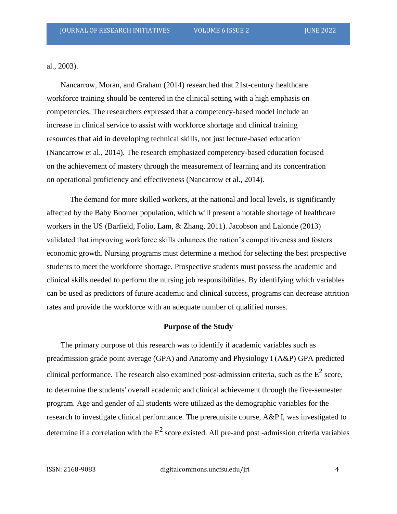al., 2003).

Nancarrow, Moran, and Graham (2014) researched that 21st-century healthcare workforce training should be centered in the clinical setting with a high emphasis on competencies. The researchers expressed that a competency-based model include an increase in clinical service to assist with workforce shortage and clinical training resources that aid in developing technical skills, not just lecture-based education (Nancarrow et al., 2014). The research emphasized competency-based education focused on the achievement of mastery through the measurement of learning and its concentration on operational proficiency and effectiveness (Nancarrow et al., 2014).

The demand for more skilled workers, at the national and local levels, is significantly affected by the Baby Boomer population, which will present a notable shortage of healthcare workers in the US (Barfield, Folio, Lam, & Zhang, 2011). Jacobson and Lalonde (2013) validated that improving workforce skills enhances the nation's competitiveness and fosters economic growth. Nursing programs must determine a method for selecting the best prospective students to meet the workforce shortage. Prospective students must possess the academic and clinical skills needed to perform the nursing job responsibilities. By identifying which variables can be used as predictors of future academic and clinical success, programs can decrease attrition rates and provide the workforce with an adequate number of qualified nurses.

#### **Purpose of the Study**

The primary purpose of this research was to identify if academic variables such as preadmission grade point average (GPA) and Anatomy and Physiology I (A&P) GPA predicted clinical performance. The research also examined post-admission criteria, such as the  $E^2$  score, to determine the students' overall academic and clinical achievement through the five-semester program. Age and gender of all students were utilized as the demographic variables for the research to investigate clinical performance. The prerequisite course, A&P I, was investigated to determine if a correlation with the  $E^2$  score existed. All pre-and post -admission criteria variables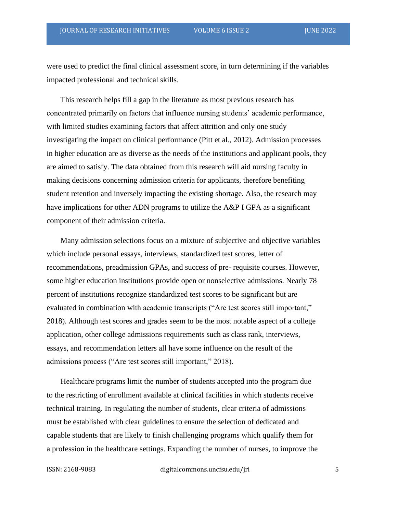were used to predict the final clinical assessment score, in turn determining if the variables impacted professional and technical skills.

This research helps fill a gap in the literature as most previous research has concentrated primarily on factors that influence nursing students' academic performance, with limited studies examining factors that affect attrition and only one study investigating the impact on clinical performance (Pitt et al., 2012). Admission processes in higher education are as diverse as the needs of the institutions and applicant pools, they are aimed to satisfy. The data obtained from this research will aid nursing faculty in making decisions concerning admission criteria for applicants, therefore benefiting student retention and inversely impacting the existing shortage. Also, the research may have implications for other ADN programs to utilize the A&P I GPA as a significant component of their admission criteria.

Many admission selections focus on a mixture of subjective and objective variables which include personal essays, interviews, standardized test scores, letter of recommendations, preadmission GPAs, and success of pre- requisite courses. However, some higher education institutions provide open or nonselective admissions. Nearly 78 percent of institutions recognize standardized test scores to be significant but are evaluated in combination with academic transcripts ("Are test scores still important," 2018). Although test scores and grades seem to be the most notable aspect of a college application, other college admissions requirements such as class rank, interviews, essays, and recommendation letters all have some influence on the result of the admissions process ("Are test scores still important," 2018).

Healthcare programs limit the number of students accepted into the program due to the restricting of enrollment available at clinical facilities in which students receive technical training. In regulating the number of students, clear criteria of admissions must be established with clear guidelines to ensure the selection of dedicated and capable students that are likely to finish challenging programs which qualify them for a profession in the healthcare settings. Expanding the number of nurses, to improve the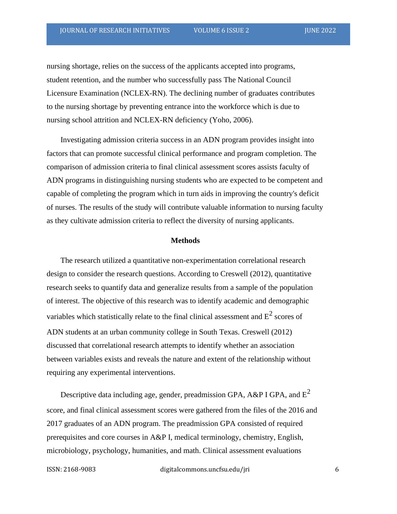nursing shortage, relies on the success of the applicants accepted into programs, student retention, and the number who successfully pass The National Council Licensure Examination (NCLEX-RN). The declining number of graduates contributes to the nursing shortage by preventing entrance into the workforce which is due to nursing school attrition and NCLEX-RN deficiency (Yoho, 2006).

Investigating admission criteria success in an ADN program provides insight into factors that can promote successful clinical performance and program completion. The comparison of admission criteria to final clinical assessment scores assists faculty of ADN programs in distinguishing nursing students who are expected to be competent and capable of completing the program which in turn aids in improving the country's deficit of nurses. The results of the study will contribute valuable information to nursing faculty as they cultivate admission criteria to reflect the diversity of nursing applicants.

#### **Methods**

The research utilized a quantitative non-experimentation correlational research design to consider the research questions. According to Creswell (2012), quantitative research seeks to quantify data and generalize results from a sample of the population of interest. The objective of this research was to identify academic and demographic variables which statistically relate to the final clinical assessment and  $E^2$  scores of ADN students at an urban community college in South Texas. Creswell (2012) discussed that correlational research attempts to identify whether an association between variables exists and reveals the nature and extent of the relationship without requiring any experimental interventions.

Descriptive data including age, gender, preadmission GPA, A&P I GPA, and  $E^2$ score, and final clinical assessment scores were gathered from the files of the 2016 and 2017 graduates of an ADN program. The preadmission GPA consisted of required prerequisites and core courses in A&P I, medical terminology, chemistry, English, microbiology, psychology, humanities, and math. Clinical assessment evaluations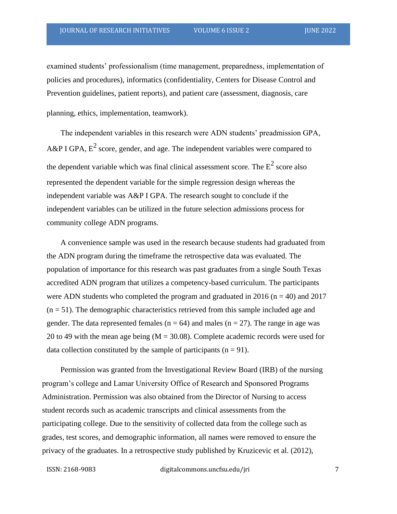examined students' professionalism (time management, preparedness, implementation of policies and procedures), informatics (confidentiality, Centers for Disease Control and Prevention guidelines, patient reports), and patient care (assessment, diagnosis, care

planning, ethics, implementation, teamwork).

The independent variables in this research were ADN students' preadmission GPA, A&P I GPA,  $E^2$  score, gender, and age. The independent variables were compared to the dependent variable which was final clinical assessment score. The  $E^2$  score also represented the dependent variable for the simple regression design whereas the independent variable was A&P I GPA. The research sought to conclude if the independent variables can be utilized in the future selection admissions process for community college ADN programs.

A convenience sample was used in the research because students had graduated from the ADN program during the timeframe the retrospective data was evaluated. The population of importance for this research was past graduates from a single South Texas accredited ADN program that utilizes a competency-based curriculum. The participants were ADN students who completed the program and graduated in 2016 ( $n = 40$ ) and 2017  $(n = 51)$ . The demographic characteristics retrieved from this sample included age and gender. The data represented females ( $n = 64$ ) and males ( $n = 27$ ). The range in age was 20 to 49 with the mean age being  $(M = 30.08)$ . Complete academic records were used for data collection constituted by the sample of participants ( $n = 91$ ).

Permission was granted from the Investigational Review Board (IRB) of the nursing program's college and Lamar University Office of Research and Sponsored Programs Administration. Permission was also obtained from the Director of Nursing to access student records such as academic transcripts and clinical assessments from the participating college. Due to the sensitivity of collected data from the college such as grades, test scores, and demographic information, all names were removed to ensure the privacy of the graduates. In a retrospective study published by Kruzicevic et al. (2012),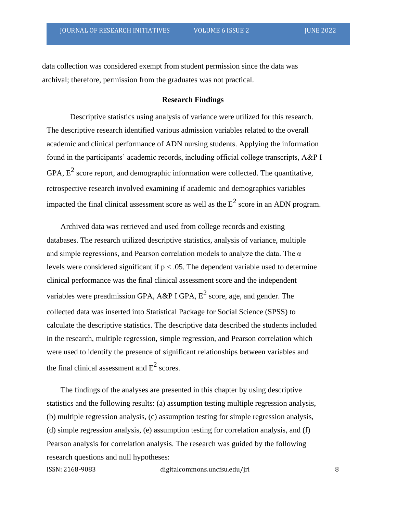data collection was considered exempt from student permission since the data was archival; therefore, permission from the graduates was not practical.

# **Research Findings**

Descriptive statistics using analysis of variance were utilized for this research. The descriptive research identified various admission variables related to the overall academic and clinical performance of ADN nursing students. Applying the information found in the participants' academic records, including official college transcripts, A&P I GPA,  $E^2$  score report, and demographic information were collected. The quantitative, retrospective research involved examining if academic and demographics variables impacted the final clinical assessment score as well as the  $E^2$  score in an ADN program.

Archived data was retrieved and used from college records and existing databases. The research utilized descriptive statistics, analysis of variance, multiple and simple regressions, and Pearson correlation models to analyze the data. The  $\alpha$ levels were considered significant if  $p < .05$ . The dependent variable used to determine clinical performance was the final clinical assessment score and the independent variables were preadmission GPA, A&P I GPA,  $E^2$  score, age, and gender. The collected data was inserted into Statistical Package for Social Science (SPSS) to calculate the descriptive statistics. The descriptive data described the students included in the research, multiple regression, simple regression, and Pearson correlation which were used to identify the presence of significant relationships between variables and the final clinical assessment and  $E^2$  scores.

The findings of the analyses are presented in this chapter by using descriptive statistics and the following results: (a) assumption testing multiple regression analysis, (b) multiple regression analysis, (c) assumption testing for simple regression analysis, (d) simple regression analysis, (e) assumption testing for correlation analysis, and (f) Pearson analysis for correlation analysis. The research was guided by the following research questions and null hypotheses: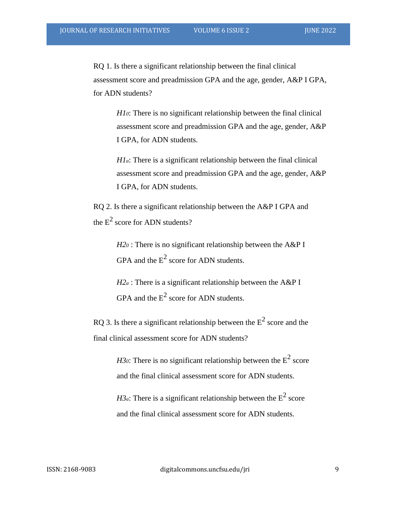RQ 1. Is there a significant relationship between the final clinical assessment score and preadmission GPA and the age, gender, A&P I GPA, for ADN students?

> *H10*: There is no significant relationship between the final clinical assessment score and preadmission GPA and the age, gender, A&P I GPA, for ADN students.

> *H1a*: There is a significant relationship between the final clinical assessment score and preadmission GPA and the age, gender, A&P I GPA, for ADN students.

RQ 2. Is there a significant relationship between the A&P I GPA and the  $E^2$  score for ADN students?

> *H2<sup>0</sup>* : There is no significant relationship between the A&P I GPA and the  $E^2$  score for ADN students.

 $H2a$ : There is a significant relationship between the A&P I GPA and the  $E^2$  score for ADN students.

RQ 3. Is there a significant relationship between the  $E^2$  score and the final clinical assessment score for ADN students?

> *H30*: There is no significant relationship between the  $E^2$  score and the final clinical assessment score for ADN students.

*H3a*: There is a significant relationship between the  $E^2$  score and the final clinical assessment score for ADN students.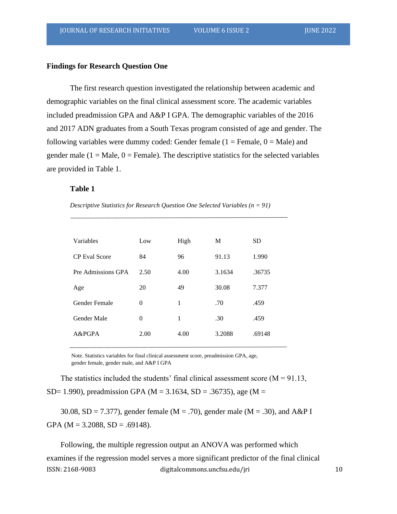#### **Findings for Research Question One**

The first research question investigated the relationship between academic and demographic variables on the final clinical assessment score. The academic variables included preadmission GPA and A&P I GPA. The demographic variables of the 2016 and 2017 ADN graduates from a South Texas program consisted of age and gender. The following variables were dummy coded: Gender female  $(1 =$  Female,  $0 =$  Male) and gender male  $(1 = Male, 0 = Female)$ . The descriptive statistics for the selected variables are provided in Table 1.

#### **Table 1**

*Descriptive Statistics for Research Question One Selected Variables (n = 91)*

| Variables            | Low            | High | M      | SD     |
|----------------------|----------------|------|--------|--------|
| <b>CP</b> Eval Score | 84             | 96   | 91.13  | 1.990  |
| Pre Admissions GPA   | 2.50           | 4.00 | 3.1634 | .36735 |
| Age                  | 20             | 49   | 30.08  | 7.377  |
| Gender Female        | $\overline{0}$ | 1    | .70    | .459   |
| Gender Male          | $\Omega$       | 1    | .30    | .459   |
| A&PGPA               | 2.00           | 4.00 | 3.2088 | .69148 |
|                      |                |      |        |        |

Note. Statistics variables for final clinical assessment score, preadmission GPA, age, gender female, gender male, and A&P I GPA

The statistics included the students' final clinical assessment score  $(M = 91.13,$ SD= 1.990), preadmission GPA (M = 3.1634, SD = .36735), age (M =

30.08, SD = 7.377), gender female ( $M = .70$ ), gender male ( $M = .30$ ), and A&P I GPA ( $M = 3.2088$ ,  $SD = .69148$ ).

ISSN: 2168-9083 digitalcommons.uncfsu.edu/jri 10 Following, the multiple regression output an ANOVA was performed which examines if the regression model serves a more significant predictor of the final clinical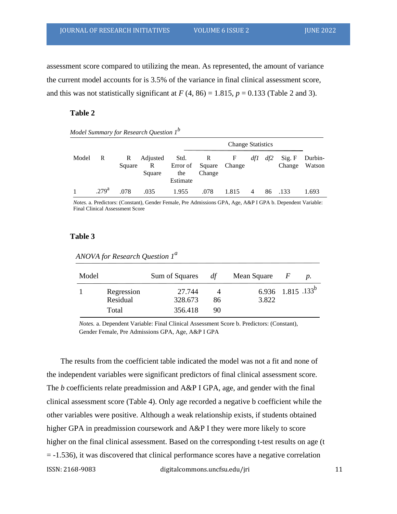assessment score compared to utilizing the mean. As represented, the amount of variance the current model accounts for is 3.5% of the variance in final clinical assessment score, and this was not statistically significant at  $F(4, 86) = 1.815$ ,  $p = 0.133$  (Table 2 and 3).

# **Table 2**

|       |                  |                        |                         |                         | <b>Change Statistics</b>              |       |     |     |                         |         |
|-------|------------------|------------------------|-------------------------|-------------------------|---------------------------------------|-------|-----|-----|-------------------------|---------|
| Model | R                | $\mathbb{R}$<br>Square | Adjusted<br>R<br>Square | Std.<br>the<br>Estimate | R<br>Error of Square Change<br>Change | F     | df1 | df2 | Sig. F<br>Change Watson | Durbin- |
|       | 279 <sup>a</sup> | .078                   | .035                    | 1.955                   | .078                                  | 1.815 | 4   | 86  | .133                    | 1.693   |

*Model Summary for Research Question 1<sup>b</sup>*

*Notes.* a. Predictors: (Constant), Gender Female, Pre Admissions GPA, Age, A&P I GPA b. Dependent Variable: Final Clinical Assessment Score

#### **Table 3**

| Model |                                 | Sum of Squares               | df       | Mean Square                            | $\overline{F}$ | $\mathcal{D}$ . |
|-------|---------------------------------|------------------------------|----------|----------------------------------------|----------------|-----------------|
|       | Regression<br>Residual<br>Total | 27.744<br>328.673<br>356.418 | 86<br>90 | 6.936 1.815 .133 <sup>b</sup><br>3.822 |                |                 |

*ANOVA for Research Question 1<sup>a</sup>*

*Notes.* a. Dependent Variable: Final Clinical Assessment Score b. Predictors: (Constant), Gender Female, Pre Admissions GPA, Age, A&P I GPA

ISSN: 2168-9083 digitalcommons.uncfsu.edu/jri 11 The results from the coefficient table indicated the model was not a fit and none of the independent variables were significant predictors of final clinical assessment score. The *b* coefficients relate preadmission and A&P I GPA, age, and gender with the final clinical assessment score (Table 4). Only age recorded a negative b coefficient while the other variables were positive. Although a weak relationship exists, if students obtained higher GPA in preadmission coursework and A&P I they were more likely to score higher on the final clinical assessment. Based on the corresponding t-test results on age (t = -1.536), it was discovered that clinical performance scores have a negative correlation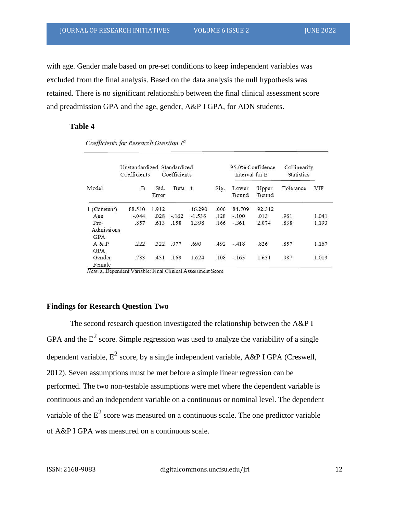with age. Gender male based on pre-set conditions to keep independent variables was excluded from the final analysis. Based on the data analysis the null hypothesis was retained. There is no significant relationship between the final clinical assessment score and preadmission GPA and the age, gender, A&P I GPA, for ADN students.

# **Table 4**

|                           | Unstandardized Standardized<br>Coefficients |               | Coefficients |          |       | Interval for B | 95.0% Confidence | Collinearity<br><b>Statistics</b> |       |
|---------------------------|---------------------------------------------|---------------|--------------|----------|-------|----------------|------------------|-----------------------------------|-------|
| Model                     | B                                           | Std.<br>Error | Beta t       |          | Sig.  | Lower<br>Bound | Upper<br>Bound   | Tolerance                         | VIF   |
| Constant)<br>1 (          | 88.510                                      | 1.912         |              | 46.290   | .000. | 84.709         | 92.312           |                                   |       |
| Age                       | $-.044$                                     | .028          | $-.162$      | $-1.536$ | .128  | $-.100$        | .013             | .961                              | 1.041 |
| Pre-<br>Admissions<br>GPA | .857                                        | .613          | .158         | 1.398    | .166  | $-361$         | 2.074            | .838                              | 1.193 |
| A & P<br><b>GPA</b>       | .222                                        | 322           | .077         | .690     | .492  | $-.418$        | .826             | .857                              | 1.167 |
| Gender<br>Female          | .733                                        | .451          | .169         | 1.624    | .108  | $-.165$        | 1.631            | .987                              | 1.013 |

Coefficients for Research Question 1<sup>a</sup>

Note. a. Dependent Variable: Final Clinical Assessment Score

# **Findings for Research Question Two**

The second research question investigated the relationship between the A&P I GPA and the  $E^2$  score. Simple regression was used to analyze the variability of a single dependent variable,  $E^2$  score, by a single independent variable, A&P I GPA (Creswell, 2012). Seven assumptions must be met before a simple linear regression can be performed. The two non-testable assumptions were met where the dependent variable is continuous and an independent variable on a continuous or nominal level. The dependent variable of the  $E^2$  score was measured on a continuous scale. The one predictor variable of A&P I GPA was measured on a continuous scale.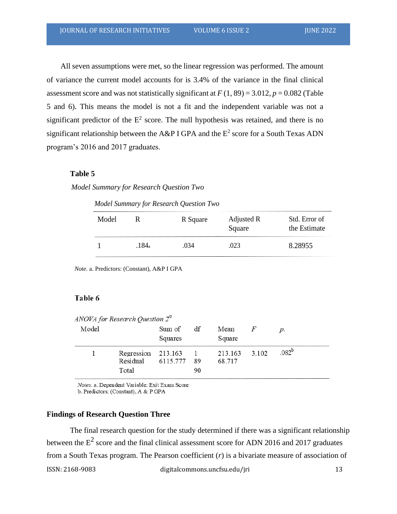All seven assumptions were met, so the linear regression was performed. The amount of variance the current model accounts for is 3.4% of the variance in the final clinical assessment score and was not statistically significant at  $F(1, 89) = 3.012$ ,  $p = 0.082$  (Table 5 and 6). This means the model is not a fit and the independent variable was not a significant predictor of the  $E^2$  score. The null hypothesis was retained, and there is no significant relationship between the A&P I GPA and the  $E^2$  score for a South Texas ADN program's 2016 and 2017 graduates.

# **Table 5**

*Model Summary for Research Question Two*

*Model Summary for Research Question Two*

| Model |       | R Square | Adjusted R<br>Square | Std. Error of<br>the Estimate |
|-------|-------|----------|----------------------|-------------------------------|
|       | .184a | .034     | .023                 | 8.28955                       |

*Note.* a. Predictors: (Constant), A&P I GPA

# Table 6

| Model | ANOVA for Research Question $2^a$           | Sum of<br>Squares | df       | Mean<br>Square          | F | $p$ .      |
|-------|---------------------------------------------|-------------------|----------|-------------------------|---|------------|
|       | Regression $213.163$ 1<br>Residual<br>Total | 6115.777          | 89<br>90 | 213.163 3.102<br>68.717 |   | $.082^{b}$ |

Notes. a. Dependent Variable: Exit Exam Score b. Predictors: (Constant), A & P GPA

#### **Findings of Research Question Three**

ISSN: 2168-9083 digitalcommons.uncfsu.edu/jri 13 The final research question for the study determined if there was a significant relationship between the  $E^2$  score and the final clinical assessment score for ADN 2016 and 2017 graduates from a South Texas program. The Pearson coefficient (*r*) is a bivariate measure of association of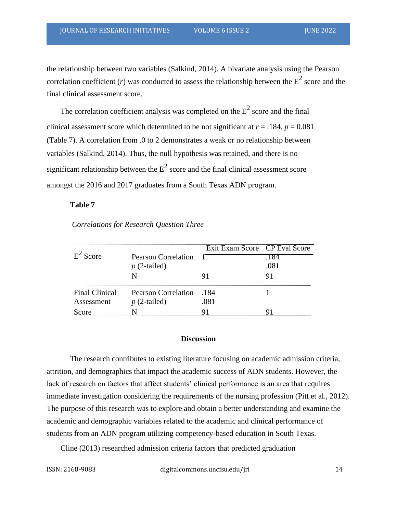the relationship between two variables (Salkind, 2014). A bivariate analysis using the Pearson correlation coefficient (*r*) was conducted to assess the relationship between the  $E^2$  score and the final clinical assessment score.

The correlation coefficient analysis was completed on the  $E^2$  score and the final clinical assessment score which determined to be not significant at  $r = .184$ ,  $p = 0.081$ (Table 7). A correlation from .0 to 2 demonstrates a weak or no relationship between variables (Salkind, 2014). Thus, the null hypothesis was retained, and there is no significant relationship between the  $E^2$  score and the final clinical assessment score amongst the 2016 and 2017 graduates from a South Texas ADN program.

# **Table 7**

|                       |                                              | Exit Exam Score CP Eval Score |              |
|-----------------------|----------------------------------------------|-------------------------------|--------------|
| $E^2$ Score           | <b>Pearson Correlation</b><br>$p(2$ -tailed) |                               | .184<br>.081 |
|                       | N                                            | 91                            | 91           |
| <b>Final Clinical</b> | Pearson Correlation                          | -184                          |              |
| Assessment            | $p(2$ -tailed)                               | .081                          |              |
| Score                 |                                              |                               |              |

# *Correlations for Research Question Three*

#### **Discussion**

The research contributes to existing literature focusing on academic admission criteria, attrition, and demographics that impact the academic success of ADN students. However, the lack of research on factors that affect students' clinical performance is an area that requires immediate investigation considering the requirements of the nursing profession (Pitt et al., 2012). The purpose of this research was to explore and obtain a better understanding and examine the academic and demographic variables related to the academic and clinical performance of students from an ADN program utilizing competency-based education in South Texas.

Cline (2013) researched admission criteria factors that predicted graduation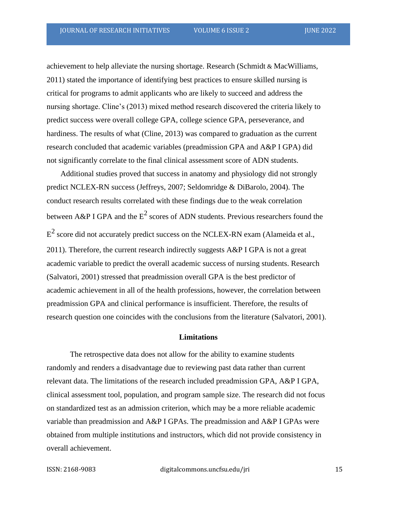achievement to help alleviate the nursing shortage. Research (Schmidt & MacWilliams, 2011) stated the importance of identifying best practices to ensure skilled nursing is critical for programs to admit applicants who are likely to succeed and address the nursing shortage. Cline's (2013) mixed method research discovered the criteria likely to predict success were overall college GPA, college science GPA, perseverance, and hardiness. The results of what (Cline, 2013) was compared to graduation as the current research concluded that academic variables (preadmission GPA and A&P I GPA) did not significantly correlate to the final clinical assessment score of ADN students.

Additional studies proved that success in anatomy and physiology did not strongly predict NCLEX-RN success (Jeffreys, 2007; Seldomridge & DiBarolo, 2004). The conduct research results correlated with these findings due to the weak correlation between A&P I GPA and the  $E^2$  scores of ADN students. Previous researchers found the  $E^2$  score did not accurately predict success on the NCLEX-RN exam (Alameida et al., 2011). Therefore, the current research indirectly suggests  $A\&P$  I GPA is not a great academic variable to predict the overall academic success of nursing students. Research (Salvatori, 2001) stressed that preadmission overall GPA is the best predictor of academic achievement in all of the health professions, however, the correlation between preadmission GPA and clinical performance is insufficient. Therefore, the results of research question one coincides with the conclusions from the literature (Salvatori, 2001).

### **Limitations**

The retrospective data does not allow for the ability to examine students randomly and renders a disadvantage due to reviewing past data rather than current relevant data. The limitations of the research included preadmission GPA, A&P I GPA, clinical assessment tool, population, and program sample size. The research did not focus on standardized test as an admission criterion, which may be a more reliable academic variable than preadmission and A&P I GPAs. The preadmission and A&P I GPAs were obtained from multiple institutions and instructors, which did not provide consistency in overall achievement.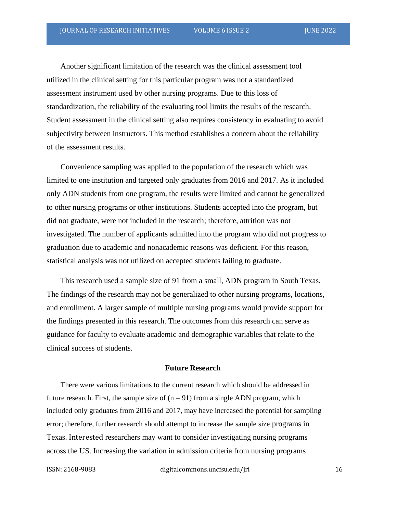Another significant limitation of the research was the clinical assessment tool utilized in the clinical setting for this particular program was not a standardized assessment instrument used by other nursing programs. Due to this loss of standardization, the reliability of the evaluating tool limits the results of the research. Student assessment in the clinical setting also requires consistency in evaluating to avoid subjectivity between instructors. This method establishes a concern about the reliability of the assessment results.

Convenience sampling was applied to the population of the research which was limited to one institution and targeted only graduates from 2016 and 2017. As it included only ADN students from one program, the results were limited and cannot be generalized to other nursing programs or other institutions. Students accepted into the program, but did not graduate, were not included in the research; therefore, attrition was not investigated. The number of applicants admitted into the program who did not progress to graduation due to academic and nonacademic reasons was deficient. For this reason, statistical analysis was not utilized on accepted students failing to graduate.

This research used a sample size of 91 from a small, ADN program in South Texas. The findings of the research may not be generalized to other nursing programs, locations, and enrollment. A larger sample of multiple nursing programs would provide support for the findings presented in this research. The outcomes from this research can serve as guidance for faculty to evaluate academic and demographic variables that relate to the clinical success of students.

#### **Future Research**

There were various limitations to the current research which should be addressed in future research. First, the sample size of  $(n = 91)$  from a single ADN program, which included only graduates from 2016 and 2017, may have increased the potential for sampling error; therefore, further research should attempt to increase the sample size programs in Texas. Interested researchers may want to consider investigating nursing programs across the US. Increasing the variation in admission criteria from nursing programs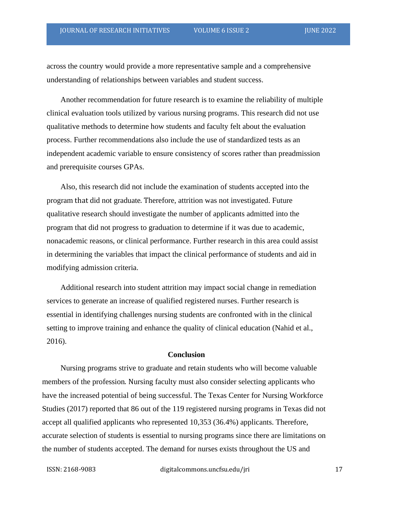across the country would provide a more representative sample and a comprehensive understanding of relationships between variables and student success.

Another recommendation for future research is to examine the reliability of multiple clinical evaluation tools utilized by various nursing programs. This research did not use qualitative methods to determine how students and faculty felt about the evaluation process. Further recommendations also include the use of standardized tests as an independent academic variable to ensure consistency of scores rather than preadmission and prerequisite courses GPAs.

Also, this research did not include the examination of students accepted into the program that did not graduate. Therefore, attrition was not investigated. Future qualitative research should investigate the number of applicants admitted into the program that did not progress to graduation to determine if it was due to academic, nonacademic reasons, or clinical performance. Further research in this area could assist in determining the variables that impact the clinical performance of students and aid in modifying admission criteria.

Additional research into student attrition may impact social change in remediation services to generate an increase of qualified registered nurses. Further research is essential in identifying challenges nursing students are confronted with in the clinical setting to improve training and enhance the quality of clinical education (Nahid et al., 2016).

#### **Conclusion**

Nursing programs strive to graduate and retain students who will become valuable members of the profession. Nursing faculty must also consider selecting applicants who have the increased potential of being successful. The Texas Center for Nursing Workforce Studies (2017) reported that 86 out of the 119 registered nursing programs in Texas did not accept all qualified applicants who represented 10,353 (36.4%) applicants. Therefore, accurate selection of students is essential to nursing programs since there are limitations on the number of students accepted. The demand for nurses exists throughout the US and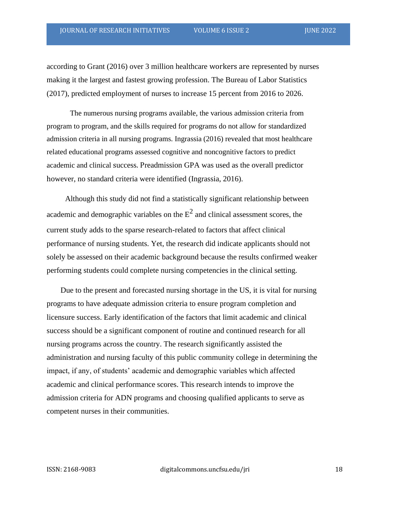according to Grant (2016) over 3 million healthcare workers are represented by nurses making it the largest and fastest growing profession. The Bureau of Labor Statistics (2017), predicted employment of nurses to increase 15 percent from 2016 to 2026.

The numerous nursing programs available, the various admission criteria from program to program, and the skills required for programs do not allow for standardized admission criteria in all nursing programs. Ingrassia (2016) revealed that most healthcare related educational programs assessed cognitive and noncognitive factors to predict academic and clinical success. Preadmission GPA was used as the overall predictor however, no standard criteria were identified (Ingrassia, 2016).

Although this study did not find a statistically significant relationship between academic and demographic variables on the  $E^2$  and clinical assessment scores, the current study adds to the sparse research-related to factors that affect clinical performance of nursing students. Yet, the research did indicate applicants should not solely be assessed on their academic background because the results confirmed weaker performing students could complete nursing competencies in the clinical setting.

Due to the present and forecasted nursing shortage in the US, it is vital for nursing programs to have adequate admission criteria to ensure program completion and licensure success. Early identification of the factors that limit academic and clinical success should be a significant component of routine and continued research for all nursing programs across the country. The research significantly assisted the administration and nursing faculty of this public community college in determining the impact, if any, of students' academic and demographic variables which affected academic and clinical performance scores. This research intends to improve the admission criteria for ADN programs and choosing qualified applicants to serve as competent nurses in their communities.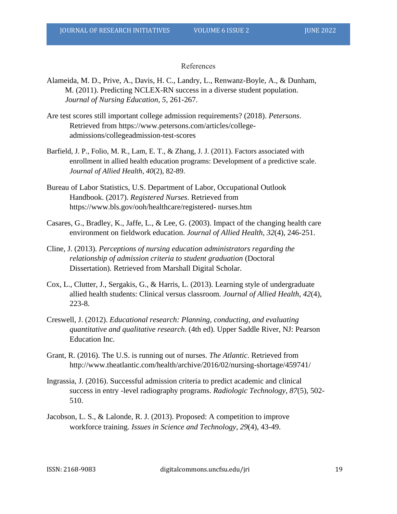#### References

- Alameida, M. D., Prive, A., Davis, H. C., Landry, L., Renwanz-Boyle, A., & Dunham, M. (2011). Predicting NCLEX-RN success in a diverse student population. *Journal of Nursing Education*, *5*, 261-267.
- Are test scores still important college admission requirements? (2018). *Petersons*. Retrieved from https://www.petersons.com/articles/collegeadmissions/collegeadmission-test-scores
- Barfield, J. P., Folio, M. R., Lam, E. T., & Zhang, J. J. (2011). Factors associated with enrollment in allied health education programs: Development of a predictive scale. *Journal of Allied Health*, *40*(2), 82-89.
- Bureau of Labor Statistics, U.S. Department of Labor, Occupational Outlook Handbook. (2017). *Registered Nurses*. Retrieved from https://www.bls.gov/ooh/healthcare/registered- nurses.htm
- Casares, G., Bradley, K., Jaffe, L., & Lee, G. (2003). Impact of the changing health care environment on fieldwork education. *Journal of Allied Health*, *32*(4), 246-251.
- Cline, J. (2013). *Perceptions of nursing education administrators regarding the relationship of admission criteria to student graduation* (Doctoral Dissertation). Retrieved from Marshall Digital Scholar.
- Cox, L., Clutter, J., Sergakis, G., & Harris, L. (2013). Learning style of undergraduate allied health students: Clinical versus classroom*. Journal of Allied Health*, *42*(4), 223-8.
- Creswell, J. (2012). *Educational research: Planning, conducting, and evaluating quantitative and qualitative research*. (4th ed). Upper Saddle River, NJ: Pearson Education Inc.
- Grant, R. (2016). The U.S. is running out of nurses. *The Atlantic*. Retrieved from http://www.theatlantic.com/health/archive/2016/02/nursing-shortage/459741/
- Ingrassia, J. (2016). Successful admission criteria to predict academic and clinical success in entry -level radiography programs. *Radiologic Technology*, *87*(5), 502- 510.
- Jacobson, L. S., & Lalonde, R. J. (2013). Proposed: A competition to improve workforce training. *Issues in Science and Technology*, *29*(4), 43-49.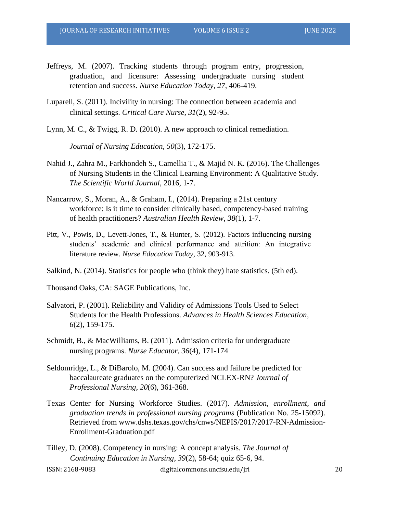- Jeffreys, M. (2007). Tracking students through program entry, progression, graduation, and licensure: Assessing undergraduate nursing student retention and success. *Nurse Education Today*, *27*, 406-419.
- Luparell, S. (2011). Incivility in nursing: The connection between academia and clinical settings. *Critical Care Nurse*, *31*(2), 92-95.
- Lynn, M. C.,  $\&$  Twigg, R. D. (2010). A new approach to clinical remediation.

*Journal of Nursing Education*, *50*(3), 172-175.

- Nahid J., Zahra M., Farkhondeh S., Camellia T., & Majid N. K. (2016). The Challenges of Nursing Students in the Clinical Learning Environment: A Qualitative Study. *The Scientific World Journal*, 2016, 1-7.
- Nancarrow, S., Moran, A., & Graham, I., (2014). Preparing a 21st century workforce: Is it time to consider clinically based, competency-based training of health practitioners? *Australian Health Review*, *38*(1), 1-7.
- Pitt, V., Powis, D., Levett-Jones, T., & Hunter, S. (2012). Factors influencing nursing students' academic and clinical performance and attrition: An integrative literature review. *Nurse Education Today*, 32, 903-913.
- Salkind, N. (2014). Statistics for people who (think they) hate statistics. (5th ed).
- Thousand Oaks, CA: SAGE Publications, Inc.
- Salvatori, P. (2001). Reliability and Validity of Admissions Tools Used to Select Students for the Health Professions. *Advances in Health Sciences Education*, *6*(2), 159-175.
- Schmidt, B., & MacWilliams, B. (2011). Admission criteria for undergraduate nursing programs. *Nurse Educator*, *36*(4), 171-174
- Seldomridge, L., & DiBarolo, M. (2004). Can success and failure be predicted for baccalaureate graduates on the computerized NCLEX-RN? *Journal of Professional Nursing*, *20*(6), 361-368.
- Texas Center for Nursing Workforce Studies. (2017). *Admission, enrollment, and graduation trends in professional nursing programs* (Publication No. 25-15092). Retrieved from www.dshs.texas.gov/chs/cnws/NEPIS/2017/2017-RN-Admission-Enrollment-Graduation.pdf

ISSN: 2168-9083 digitalcommons.uncfsu.edu/jri 20 Tilley, D. (2008). Competency in nursing: A concept analysis*. The Journal of Continuing Education in Nursing*, *39*(2), 58-64; quiz 65-6, 94.